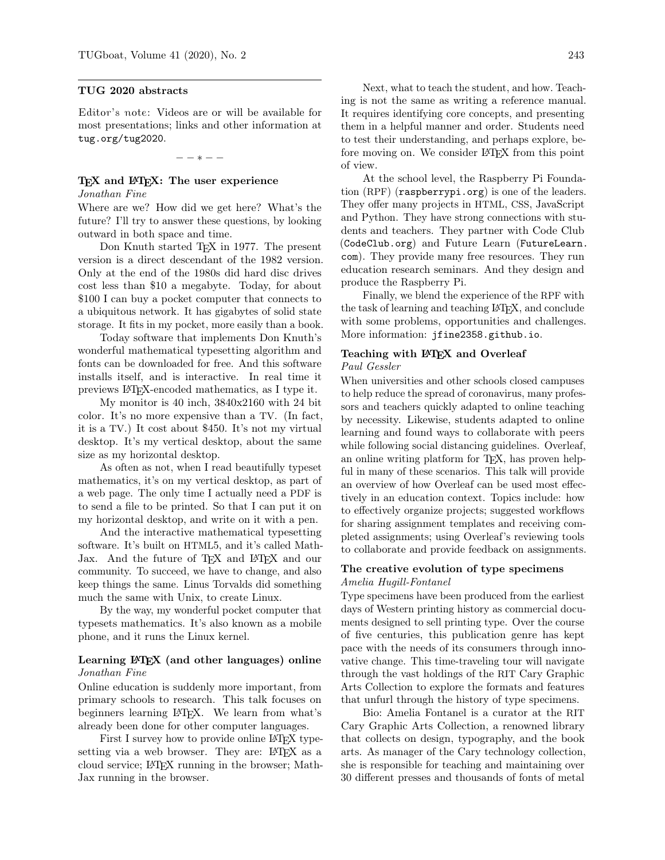#### TUG 2020 abstracts

Editor's note: Videos are or will be available for most presentations; links and other information at [tug.org/tug2020](https://tug.org/tug2020).

− − ∗ − −

#### T<sub>F</sub>X and I<sup>2</sup>T<sub>F</sub>X: The user experience Jonathan Fine

Where are we? How did we get here? What's the future? I'll try to answer these questions, by looking outward in both space and time.

Don Knuth started TEX in 1977. The present version is a direct descendant of the 1982 version. Only at the end of the 1980s did hard disc drives cost less than \$10 a megabyte. Today, for about \$100 I can buy a pocket computer that connects to a ubiquitous network. It has gigabytes of solid state storage. It fits in my pocket, more easily than a book.

Today software that implements Don Knuth's wonderful mathematical typesetting algorithm and fonts can be downloaded for free. And this software installs itself, and is interactive. In real time it previews LATEX-encoded mathematics, as I type it.

My monitor is 40 inch, 3840x2160 with 24 bit color. It's no more expensive than a TV. (In fact, it is a TV.) It cost about \$450. It's not my virtual desktop. It's my vertical desktop, about the same size as my horizontal desktop.

As often as not, when I read beautifully typeset mathematics, it's on my vertical desktop, as part of a web page. The only time I actually need a PDF is to send a file to be printed. So that I can put it on my horizontal desktop, and write on it with a pen.

And the interactive mathematical typesetting software. It's built on HTML5, and it's called Math-Jax. And the future of T<sub>F</sub>X and L<sup>AT</sup>F<sub>X</sub> and our community. To succeed, we have to change, and also keep things the same. Linus Torvalds did something much the same with Unix, to create Linux.

By the way, my wonderful pocket computer that typesets mathematics. It's also known as a mobile phone, and it runs the Linux kernel.

### Learning L<sup>AT</sup>EX (and other languages) online Jonathan Fine

Online education is suddenly more important, from primary schools to research. This talk focuses on beginners learning LATEX. We learn from what's already been done for other computer languages.

First I survey how to provide online LAT<sub>F</sub>X typesetting via a web browser. They are: LATEX as a cloud service; LATEX running in the browser; Math-Jax running in the browser.

Next, what to teach the student, and how. Teaching is not the same as writing a reference manual. It requires identifying core concepts, and presenting them in a helpful manner and order. Students need to test their understanding, and perhaps explore, before moving on. We consider LAT<sub>F</sub>X from this point of view.

At the school level, the Raspberry Pi Foundation (RPF) ([raspberrypi.org](https://raspberrypi.org)) is one of the leaders. They offer many projects in HTML, CSS, JavaScript and Python. They have strong connections with students and teachers. They partner with Code Club ([CodeClub.org](https://CodeClub.org)) and Future Learn ([FutureLearn.](https://FutureLearn.com) [com](https://FutureLearn.com)). They provide many free resources. They run education research seminars. And they design and produce the Raspberry Pi.

Finally, we blend the experience of the RPF with the task of learning and teaching LATEX, and conclude with some problems, opportunities and challenges. More information: [jfine2358.github.io](https://jfine2358.github.io).

# Teaching with LAT<sub>EX</sub> and Overleaf

# Paul Gessler

When universities and other schools closed campuses to help reduce the spread of coronavirus, many professors and teachers quickly adapted to online teaching by necessity. Likewise, students adapted to online learning and found ways to collaborate with peers while following social distancing guidelines. Overleaf, an online writing platform for TEX, has proven helpful in many of these scenarios. This talk will provide an overview of how Overleaf can be used most effectively in an education context. Topics include: how to effectively organize projects; suggested workflows for sharing assignment templates and receiving completed assignments; using Overleaf's reviewing tools to collaborate and provide feedback on assignments.

#### The creative evolution of type specimens Amelia Hugill-Fontanel

Type specimens have been produced from the earliest days of Western printing history as commercial documents designed to sell printing type. Over the course of five centuries, this publication genre has kept pace with the needs of its consumers through innovative change. This time-traveling tour will navigate through the vast holdings of the RIT Cary Graphic Arts Collection to explore the formats and features that unfurl through the history of type specimens.

Bio: Amelia Fontanel is a curator at the RIT Cary Graphic Arts Collection, a renowned library that collects on design, typography, and the book arts. As manager of the Cary technology collection, she is responsible for teaching and maintaining over 30 different presses and thousands of fonts of metal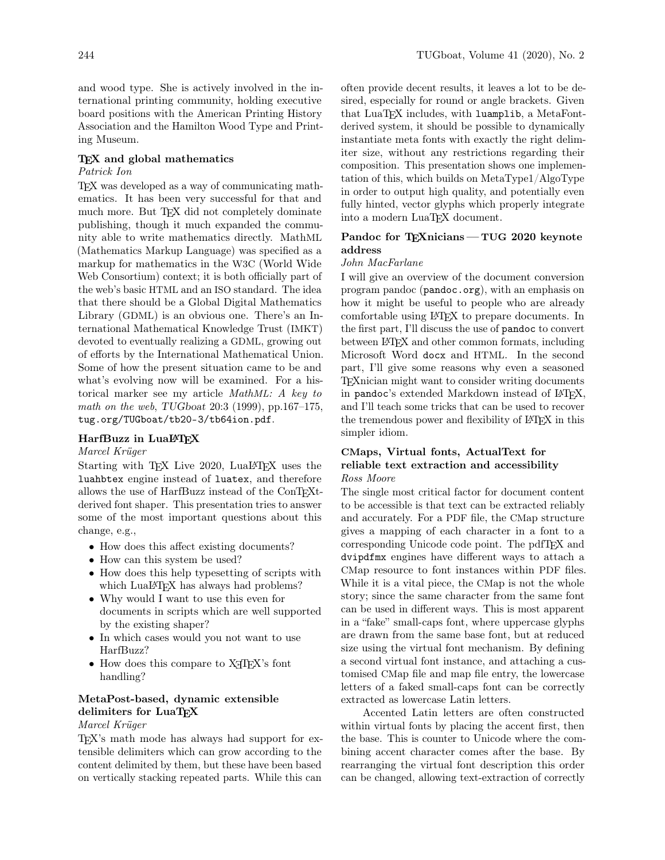and wood type. She is actively involved in the international printing community, holding executive board positions with the American Printing History Association and the Hamilton Wood Type and Printing Museum.

#### T<sub>E</sub>X and global mathematics

# Patrick Ion

TEX was developed as a way of communicating mathematics. It has been very successful for that and much more. But T<sub>EX</sub> did not completely dominate publishing, though it much expanded the community able to write mathematics directly. MathML (Mathematics Markup Language) was specified as a markup for mathematics in the W3C (World Wide Web Consortium) context; it is both officially part of the web's basic HTML and an ISO standard. The idea that there should be a Global Digital Mathematics Library (GDML) is an obvious one. There's an International Mathematical Knowledge Trust (IMKT) devoted to eventually realizing a GDML, growing out of efforts by the International Mathematical Union. Some of how the present situation came to be and what's evolving now will be examined. For a historical marker see my article MathML: A key to math on the web, TUGboat 20:3 (1999), pp.167–175, [tug.org/TUGboat/tb20-3/tb64ion.pdf](https://tug.org/TUGboat/tb20-3/tb64ion.pdf).

### HarfBuzz in LuaL<sup>AT</sup>FX

#### Marcel Krüger

Starting with T<sub>E</sub>X Live 2020, LuaL<sup>AT</sup>E<sub>X</sub> uses the luahbtex engine instead of luatex, and therefore allows the use of HarfBuzz instead of the ConTEXtderived font shaper. This presentation tries to answer some of the most important questions about this change, e.g.,

- How does this affect existing documents?
- How can this system be used?
- How does this help typesetting of scripts with which LuaL<sup>AT</sup>EX has always had problems?
- Why would I want to use this even for documents in scripts which are well supported by the existing shaper?
- In which cases would you not want to use HarfBuzz?
- $\bullet\,$  How does this compare to XTIEX's font handling?

# MetaPost-based, dynamic extensible delimiters for LuaTFX

## Marcel Krüger

TEX's math mode has always had support for extensible delimiters which can grow according to the content delimited by them, but these have been based on vertically stacking repeated parts. While this can

often provide decent results, it leaves a lot to be desired, especially for round or angle brackets. Given that LuaTEX includes, with luamplib, a MetaFontderived system, it should be possible to dynamically instantiate meta fonts with exactly the right delimiter size, without any restrictions regarding their composition. This presentation shows one implementation of this, which builds on MetaType1/AlgoType in order to output high quality, and potentially even fully hinted, vector glyphs which properly integrate into a modern LuaTEX document.

## Pandoc for TEXnicians - TUG 2020 keynote address

#### John MacFarlane

I will give an overview of the document conversion program pandoc ([pandoc.org](https://pandoc.org)), with an emphasis on how it might be useful to people who are already comfortable using LATEX to prepare documents. In the first part, I'll discuss the use of pandoc to convert between LATEX and other common formats, including Microsoft Word docx and HTML. In the second part, I'll give some reasons why even a seasoned TEXnician might want to consider writing documents in pandoc's extended Markdown instead of LATFX, and I'll teach some tricks that can be used to recover the tremendous power and flexibility of LAT<sub>EX</sub> in this simpler idiom.

# CMaps, Virtual fonts, ActualText for reliable text extraction and accessibility Ross Moore

The single most critical factor for document content to be accessible is that text can be extracted reliably and accurately. For a PDF file, the CMap structure gives a mapping of each character in a font to a corresponding Unicode code point. The pdfTEX and dvipdfmx engines have different ways to attach a CMap resource to font instances within PDF files. While it is a vital piece, the CMap is not the whole story; since the same character from the same font can be used in different ways. This is most apparent in a "fake" small-caps font, where uppercase glyphs are drawn from the same base font, but at reduced size using the virtual font mechanism. By defining a second virtual font instance, and attaching a customised CMap file and map file entry, the lowercase letters of a faked small-caps font can be correctly extracted as lowercase Latin letters.

Accented Latin letters are often constructed within virtual fonts by placing the accent first, then the base. This is counter to Unicode where the combining accent character comes after the base. By rearranging the virtual font description this order can be changed, allowing text-extraction of correctly